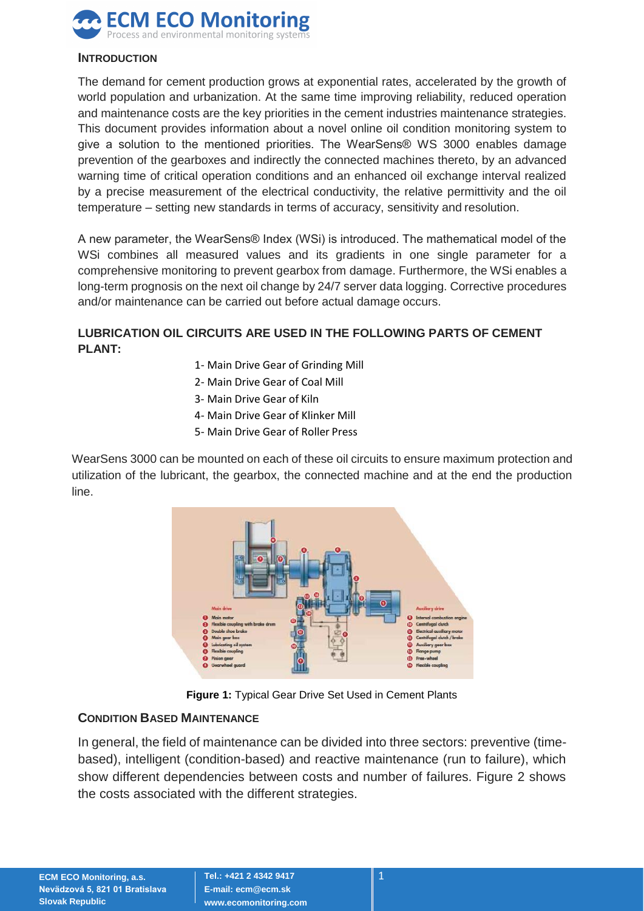

#### **INTRODUCTION**

The demand for cement production grows at exponential rates, accelerated by the growth of world population and urbanization. At the same time improving reliability, reduced operation and maintenance costs are the key priorities in the cement industries maintenance strategies. This document provides information about a novel online oil condition monitoring system to give a solution to the mentioned priorities. The WearSens® WS 3000 enables damage prevention of the gearboxes and indirectly the connected machines thereto, by an advanced warning time of critical operation conditions and an enhanced oil exchange interval realized by a precise measurement of the electrical conductivity, the relative permittivity and the oil temperature – setting new standards in terms of accuracy, sensitivity and resolution.

A new parameter, the WearSens® Index (WSi) is introduced. The mathematical model of the WSi combines all measured values and its gradients in one single parameter for a comprehensive monitoring to prevent gearbox from damage. Furthermore, the WSi enables a long-term prognosis on the next oil change by 24/7 server data logging. Corrective procedures and/or maintenance can be carried out before actual damage occurs.

# **LUBRICATION OIL CIRCUITS ARE USED IN THE FOLLOWING PARTS OF CEMENT PLANT:**

- 1- Main Drive Gear of Grinding Mill
- 2- Main Drive Gear of Coal Mill
- 3- Main Drive Gear of Kiln
- 4- Main Drive Gear of Klinker Mill
- 5- Main Drive Gear of Roller Press

WearSens 3000 can be mounted on each of these oil circuits to ensure maximum protection and utilization of the lubricant, the gearbox, the connected machine and at the end the production line.



**Figure 1:** Typical Gear Drive Set Used in Cement Plants

#### **CONDITION BASED MAINTENANCE**

In general, the field of maintenance can be divided into three sectors: preventive (timebased), intelligent (condition-based) and reactive maintenance (run to failure), which show different dependencies between costs and number of failures. Figure 2 shows the costs associated with the different strategies.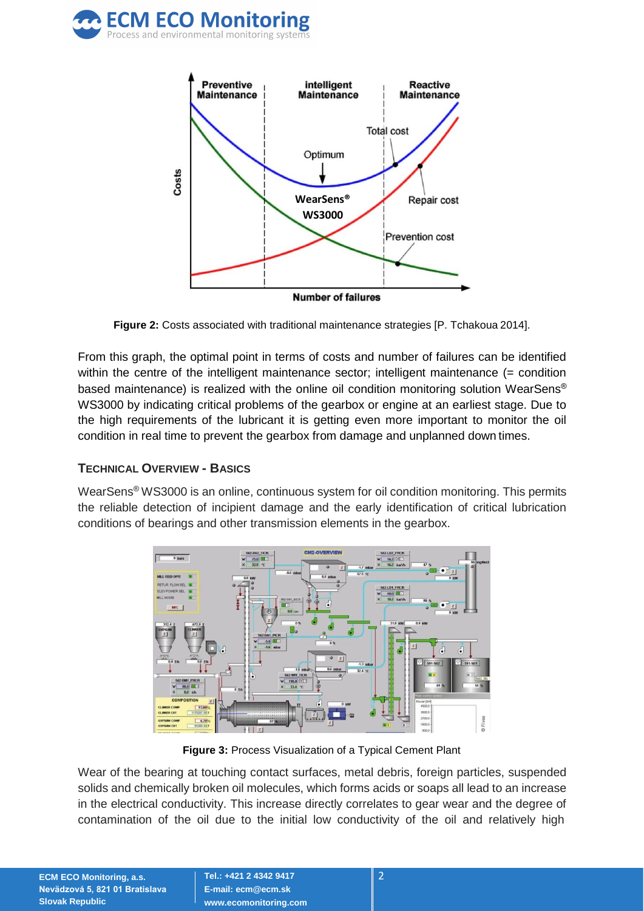



**Figure 2:** Costs associated with traditional maintenance strategies [P. Tchakoua 2014].

From this graph, the optimal point in terms of costs and number of failures can be identified within the centre of the intelligent maintenance sector; intelligent maintenance (= condition based maintenance) is realized with the online oil condition monitoring solution WearSens® WS3000 by indicating critical problems of the gearbox or engine at an earliest stage. Due to the high requirements of the lubricant it is getting even more important to monitor the oil condition in real time to prevent the gearbox from damage and unplanned down times.

### **TECHNICAL OVERVIEW - BASICS**

WearSens® WS3000 is an online, continuous system for oil condition monitoring. This permits the reliable detection of incipient damage and the early identification of critical lubrication conditions of bearings and other transmission elements in the gearbox.



**Figure 3:** Process Visualization of a Typical Cement Plant

Wear of the bearing at touching contact surfaces, metal debris, foreign particles, suspended solids and chemically broken oil molecules, which forms acids or soaps all lead to an increase in the electrical conductivity. This increase directly correlates to gear wear and the degree of contamination of the oil due to the initial low conductivity of the oil and relatively high

**ECM ECO Monitoring, a.s. Nevädzová 5, 821 01 Bratislava Slovak Republic**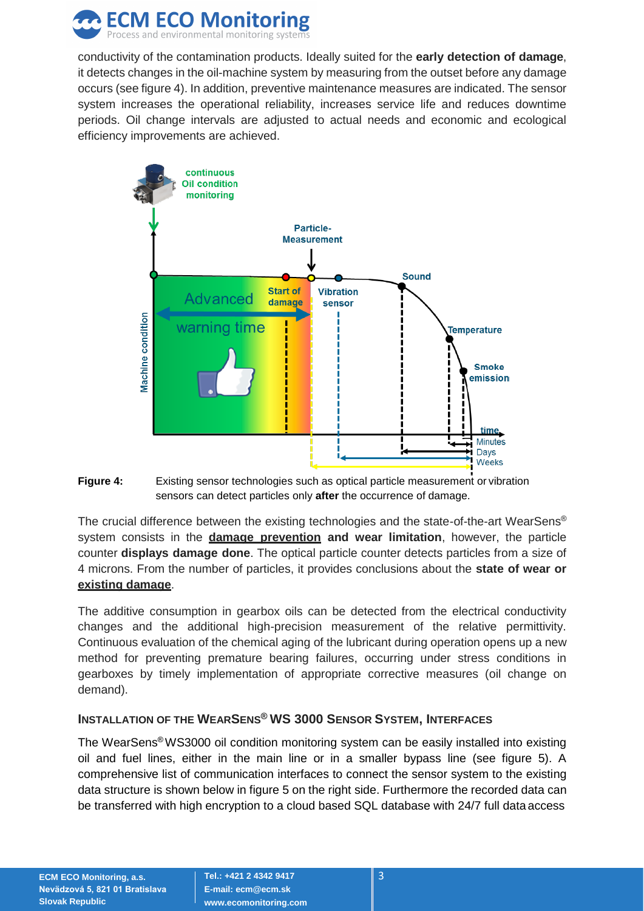

conductivity of the contamination products. Ideally suited for the **early detection of damage**, it detects changes in the oil-machine system by measuring from the outset before any damage occurs (see figure 4). In addition, preventive maintenance measures are indicated. The sensor system increases the operational reliability, increases service life and reduces downtime periods. Oil change intervals are adjusted to actual needs and economic and ecological efficiency improvements are achieved.





The crucial difference between the existing technologies and the state-of-the-art WearSens® system consists in the **damage prevention and wear limitation**, however, the particle counter **displays damage done**. The optical particle counter detects particles from a size of 4 microns. From the number of particles, it provides conclusions about the **state of wear or existing damage**.

The additive consumption in gearbox oils can be detected from the electrical conductivity changes and the additional high-precision measurement of the relative permittivity. Continuous evaluation of the chemical aging of the lubricant during operation opens up a new method for preventing premature bearing failures, occurring under stress conditions in gearboxes by timely implementation of appropriate corrective measures (oil change on demand).

# **INSTALLATION OF THE WEARSENS® WS 3000 SENSOR SYSTEM, INTERFACES**

The WearSens® WS3000 oil condition monitoring system can be easily installed into existing oil and fuel lines, either in the main line or in a smaller bypass line (see figure 5). A comprehensive list of communication interfaces to connect the sensor system to the existing data structure is shown below in figure 5 on the right side. Furthermore the recorded data can be transferred with high encryption to a cloud based SQL database with 24/7 full data access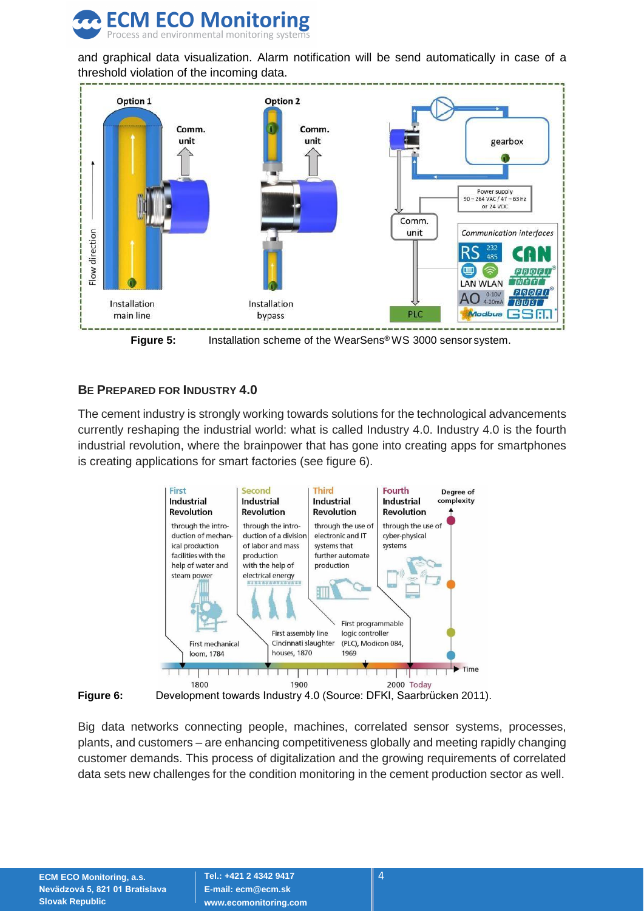

and graphical data visualization. Alarm notification will be send automatically in case of a threshold violation of the incoming data.



**Figure 5:** Installation scheme of the WearSens® WS 3000 sensor system.

### **BE PREPARED FOR INDUSTRY 4.0**

The cement industry is strongly working towards solutions for the technological advancements currently reshaping the industrial world: what is called Industry 4.0. Industry 4.0 is the fourth industrial revolution, where the brainpower that has gone into creating apps for smartphones is creating applications for smart factories (see figure 6).





Big data networks connecting people, machines, correlated sensor systems, processes, plants, and customers – are enhancing competitiveness globally and meeting rapidly changing customer demands. This process of digitalization and the growing requirements of correlated data sets new challenges for the condition monitoring in the cement production sector as well.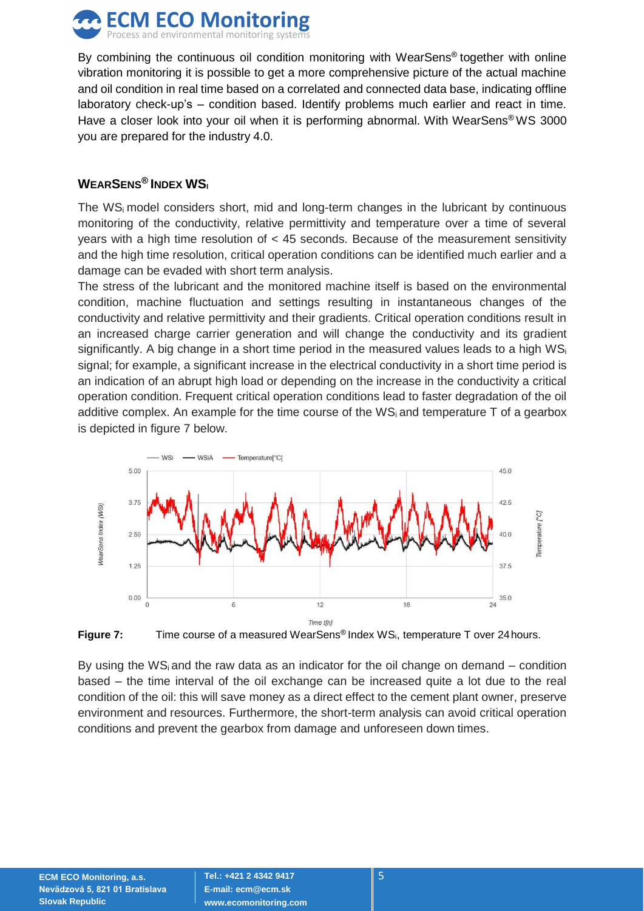

By combining the continuous oil condition monitoring with WearSens® together with online vibration monitoring it is possible to get a more comprehensive picture of the actual machine and oil condition in real time based on a correlated and connected data base, indicating offline laboratory check-up's – condition based. Identify problems much earlier and react in time. Have a closer look into your oil when it is performing abnormal. With WearSens® WS 3000 you are prepared for the industry 4.0.

### **WEARSENS® INDEX WS<sup>I</sup>**

The  $WS<sub>i</sub>$  model considers short, mid and long-term changes in the lubricant by continuous monitoring of the conductivity, relative permittivity and temperature over a time of several years with a high time resolution of < 45 seconds. Because of the measurement sensitivity and the high time resolution, critical operation conditions can be identified much earlier and a damage can be evaded with short term analysis.

The stress of the lubricant and the monitored machine itself is based on the environmental condition, machine fluctuation and settings resulting in instantaneous changes of the conductivity and relative permittivity and their gradients. Critical operation conditions result in an increased charge carrier generation and will change the conductivity and its gradient significantly. A big change in a short time period in the measured values leads to a high  $WS<sub>i</sub>$ signal; for example, a significant increase in the electrical conductivity in a short time period is an indication of an abrupt high load or depending on the increase in the conductivity a critical operation condition. Frequent critical operation conditions lead to faster degradation of the oil additive complex. An example for the time course of the WS<sub>i</sub> and temperature T of a gearbox is depicted in figure 7 below.





By using the WS<sub>i</sub> and the raw data as an indicator for the oil change on demand – condition based – the time interval of the oil exchange can be increased quite a lot due to the real condition of the oil: this will save money as a direct effect to the cement plant owner, preserve environment and resources. Furthermore, the short-term analysis can avoid critical operation conditions and prevent the gearbox from damage and unforeseen down times.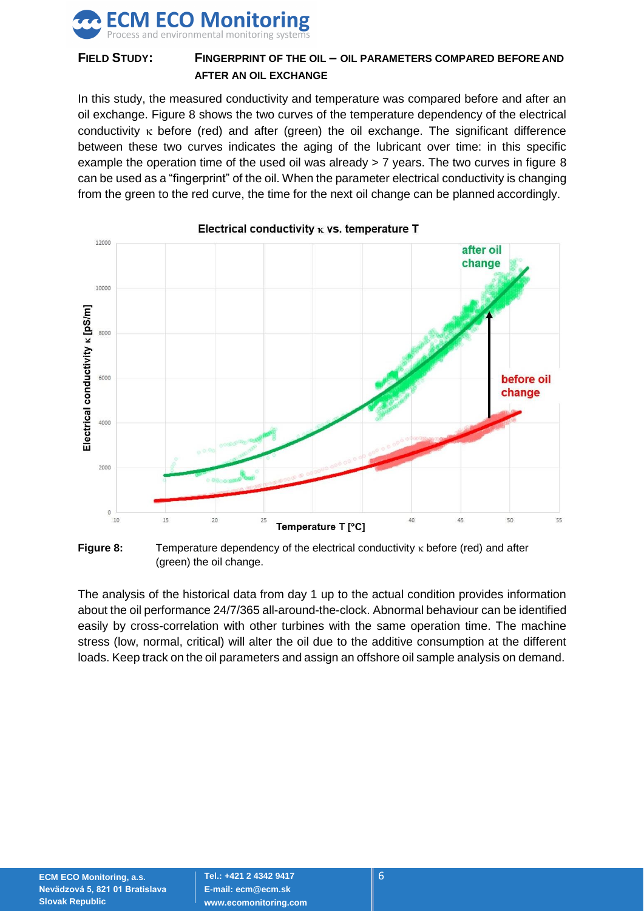

# **FIELD STUDY: FINGERPRINT OF THE OIL – OIL PARAMETERS COMPARED BEFORE AND AFTER AN OIL EXCHANGE**

In this study, the measured conductivity and temperature was compared before and after an oil exchange. Figure 8 shows the two curves of the temperature dependency of the electrical conductivity  $\kappa$  before (red) and after (green) the oil exchange. The significant difference between these two curves indicates the aging of the lubricant over time: in this specific example the operation time of the used oil was already > 7 years. The two curves in figure 8 can be used as a "fingerprint" of the oil. When the parameter electrical conductivity is changing from the green to the red curve, the time for the next oil change can be planned accordingly.



Electrical conductivity  $\kappa$  vs. temperature T



The analysis of the historical data from day 1 up to the actual condition provides information about the oil performance 24/7/365 all-around-the-clock. Abnormal behaviour can be identified easily by cross-correlation with other turbines with the same operation time. The machine stress (low, normal, critical) will alter the oil due to the additive consumption at the different loads. Keep track on the oil parameters and assign an offshore oil sample analysis on demand.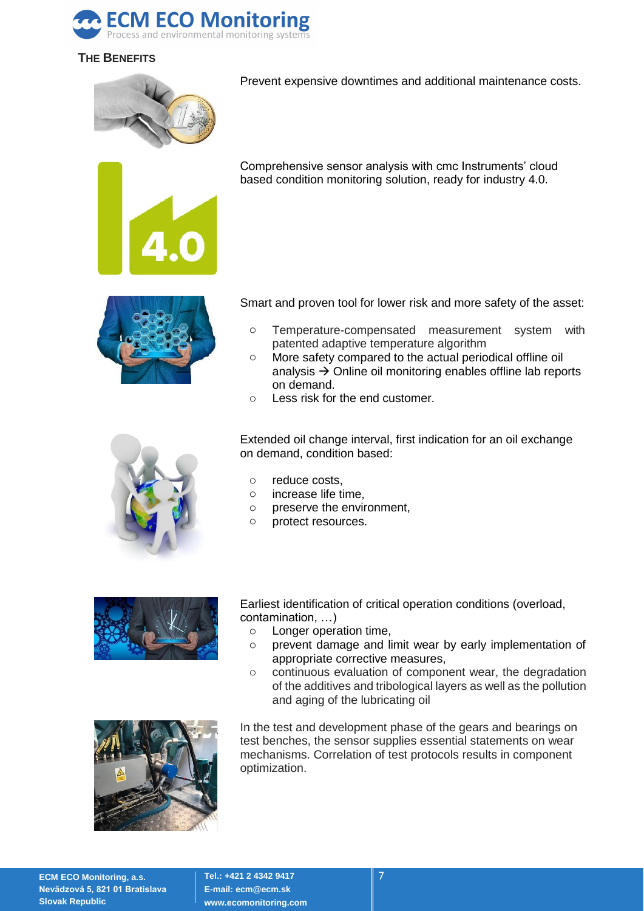

# **THE BENEFITS**



Prevent expensive downtimes and additional maintenance costs.



Comprehensive sensor analysis with cmc Instruments' cloud based condition monitoring solution, ready for industry 4.0.



Smart and proven tool for lower risk and more safety of the asset:

- o Temperature-compensated measurement system with patented adaptive temperature algorithm
- o More safety compared to the actual periodical offline oil analysis  $\rightarrow$  Online oil monitoring enables offline lab reports on demand.
- o Less risk for the end customer.



Extended oil change interval, first indication for an oil exchange on demand, condition based:

- o reduce costs,
- o increase life time,
- o preserve the environment,
- o protect resources.



Earliest identification of critical operation conditions (overload, contamination, …)

- o Longer operation time,
- o prevent damage and limit wear by early implementation of appropriate corrective measures,
- o continuous evaluation of component wear, the degradation of the additives and tribological layers as well as the pollution and aging of the lubricating oil



In the test and development phase of the gears and bearings on test benches, the sensor supplies essential statements on wear mechanisms. Correlation of test protocols results in component optimization.